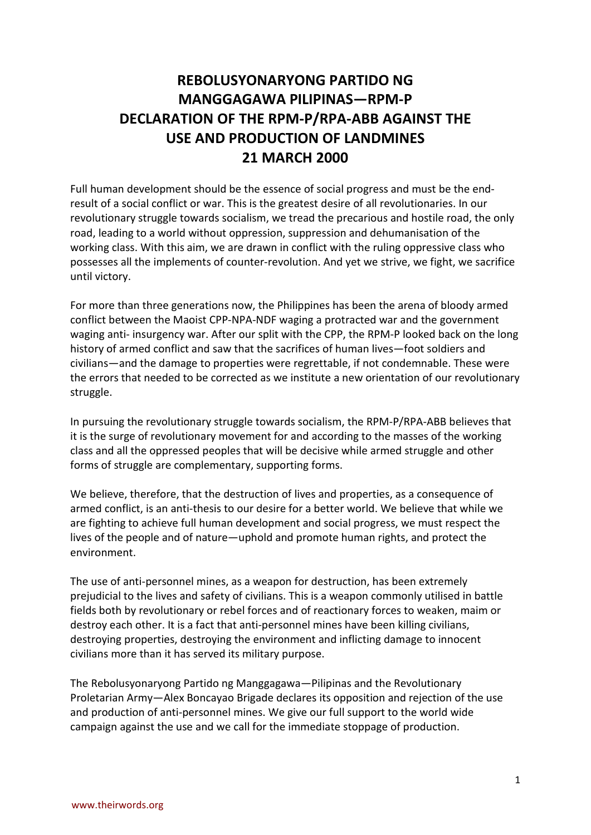## **REBOLUSYONARYONG PARTIDO NG MANGGAGAWA PILIPINAS—RPM-P DECLARATION OF THE RPM-P/RPA-ABB AGAINST THE USE AND PRODUCTION OF LANDMINES 21 MARCH 2000**

Full human development should be the essence of social progress and must be the endresult of a social conflict or war. This is the greatest desire of all revolutionaries. In our revolutionary struggle towards socialism, we tread the precarious and hostile road, the only road, leading to a world without oppression, suppression and dehumanisation of the working class. With this aim, we are drawn in conflict with the ruling oppressive class who possesses all the implements of counter-revolution. And yet we strive, we fight, we sacrifice until victory.

For more than three generations now, the Philippines has been the arena of bloody armed conflict between the Maoist CPP-NPA-NDF waging a protracted war and the government waging anti- insurgency war. After our split with the CPP, the RPM-P looked back on the long history of armed conflict and saw that the sacrifices of human lives—foot soldiers and civilians—and the damage to properties were regrettable, if not condemnable. These were the errors that needed to be corrected as we institute a new orientation of our revolutionary struggle.

In pursuing the revolutionary struggle towards socialism, the RPM-P/RPA-ABB believes that it is the surge of revolutionary movement for and according to the masses of the working class and all the oppressed peoples that will be decisive while armed struggle and other forms of struggle are complementary, supporting forms.

We believe, therefore, that the destruction of lives and properties, as a consequence of armed conflict, is an anti-thesis to our desire for a better world. We believe that while we are fighting to achieve full human development and social progress, we must respect the lives of the people and of nature—uphold and promote human rights, and protect the environment.

The use of anti-personnel mines, as a weapon for destruction, has been extremely prejudicial to the lives and safety of civilians. This is a weapon commonly utilised in battle fields both by revolutionary or rebel forces and of reactionary forces to weaken, maim or destroy each other. It is a fact that anti-personnel mines have been killing civilians, destroying properties, destroying the environment and inflicting damage to innocent civilians more than it has served its military purpose.

The Rebolusyonaryong Partido ng Manggagawa—Pilipinas and the Revolutionary Proletarian Army—Alex Boncayao Brigade declares its opposition and rejection of the use and production of anti-personnel mines. We give our full support to the world wide campaign against the use and we call for the immediate stoppage of production.